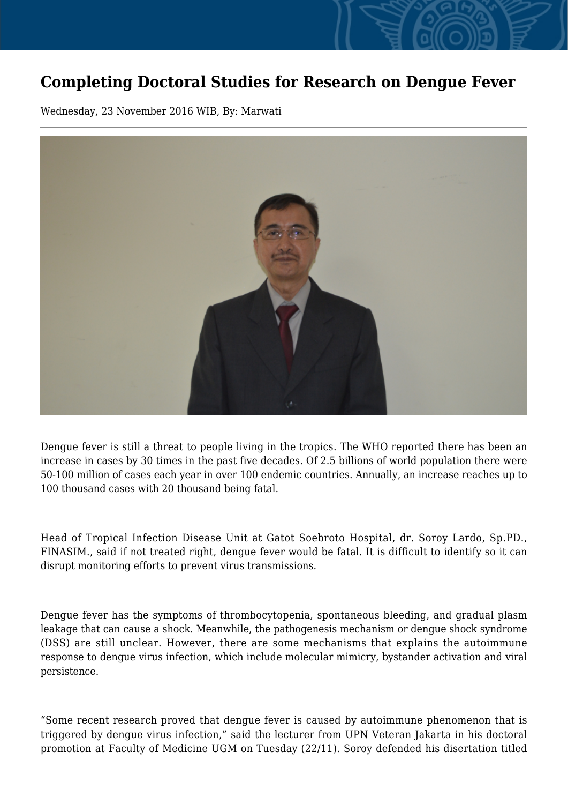## **Completing Doctoral Studies for Research on Dengue Fever**

Wednesday, 23 November 2016 WIB, By: Marwati



Dengue fever is still a threat to people living in the tropics. The WHO reported there has been an increase in cases by 30 times in the past five decades. Of 2.5 billions of world population there were 50-100 million of cases each year in over 100 endemic countries. Annually, an increase reaches up to 100 thousand cases with 20 thousand being fatal.

Head of Tropical Infection Disease Unit at Gatot Soebroto Hospital, dr. Soroy Lardo, Sp.PD., FINASIM., said if not treated right, dengue fever would be fatal. It is difficult to identify so it can disrupt monitoring efforts to prevent virus transmissions.

Dengue fever has the symptoms of thrombocytopenia, spontaneous bleeding, and gradual plasm leakage that can cause a shock. Meanwhile, the pathogenesis mechanism or dengue shock syndrome (DSS) are still unclear. However, there are some mechanisms that explains the autoimmune response to dengue virus infection, which include molecular mimicry, bystander activation and viral persistence.

"Some recent research proved that dengue fever is caused by autoimmune phenomenon that is triggered by dengue virus infection," said the lecturer from UPN Veteran Jakarta in his doctoral promotion at Faculty of Medicine UGM on Tuesday (22/11). Soroy defended his disertation titled